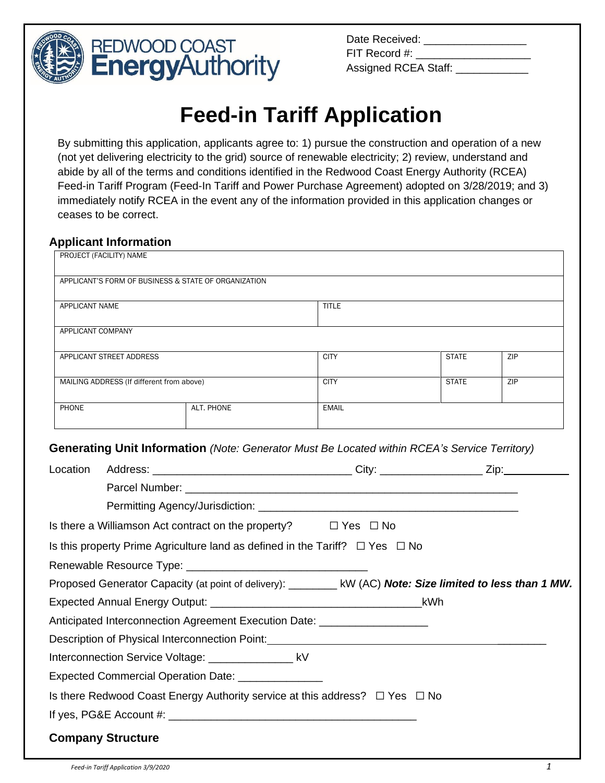

| Date Received:       |
|----------------------|
| FIT Record #:        |
| Assigned RCEA Staff: |

# **Feed-in Tariff Application**

By submitting this application, applicants agree to: 1) pursue the construction and operation of a new (not yet delivering electricity to the grid) source of renewable electricity; 2) review, understand and abide by all of the terms and conditions identified in the Redwood Coast Energy Authority (RCEA) Feed-in Tariff Program (Feed-In Tariff and Power Purchase Agreement) adopted on 3/28/2019; and 3) immediately notify RCEA in the event any of the information provided in this application changes or ceases to be correct.

# **Applicant Information**

| PROJECT (FACILITY) NAME                   |                                                      |              |              |     |  |
|-------------------------------------------|------------------------------------------------------|--------------|--------------|-----|--|
|                                           | APPLICANT'S FORM OF BUSINESS & STATE OF ORGANIZATION |              |              |     |  |
| APPLICANT NAME                            |                                                      | <b>TITLE</b> |              |     |  |
| APPLICANT COMPANY                         |                                                      |              |              |     |  |
| APPLICANT STREET ADDRESS                  |                                                      | <b>CITY</b>  | <b>STATE</b> | ZIP |  |
| MAILING ADDRESS (If different from above) |                                                      | <b>CITY</b>  | <b>STATE</b> | ZIP |  |
| PHONE                                     | ALT. PHONE                                           | <b>EMAIL</b> |              |     |  |

### **Generating Unit Information** *(Note: Generator Must Be Located within RCEA's Service Territory)*

| Location |                                                                                                                |  |
|----------|----------------------------------------------------------------------------------------------------------------|--|
|          |                                                                                                                |  |
|          |                                                                                                                |  |
|          | Is there a Williamson Act contract on the property? $\square$ Yes $\square$ No                                 |  |
|          | Is this property Prime Agriculture land as defined in the Tariff? $\square$ Yes $\square$ No                   |  |
|          |                                                                                                                |  |
|          | Proposed Generator Capacity (at point of delivery): ____________ kW (AC) Note: Size limited to less than 1 MW. |  |
|          |                                                                                                                |  |
|          | Anticipated Interconnection Agreement Execution Date: __________________________                               |  |
|          |                                                                                                                |  |
|          | Interconnection Service Voltage: __________________ kV                                                         |  |
|          | Expected Commercial Operation Date: _________________                                                          |  |
|          | Is there Redwood Coast Energy Authority service at this address? $\Box$ Yes $\Box$ No                          |  |
|          |                                                                                                                |  |
|          | <b>Company Structure</b>                                                                                       |  |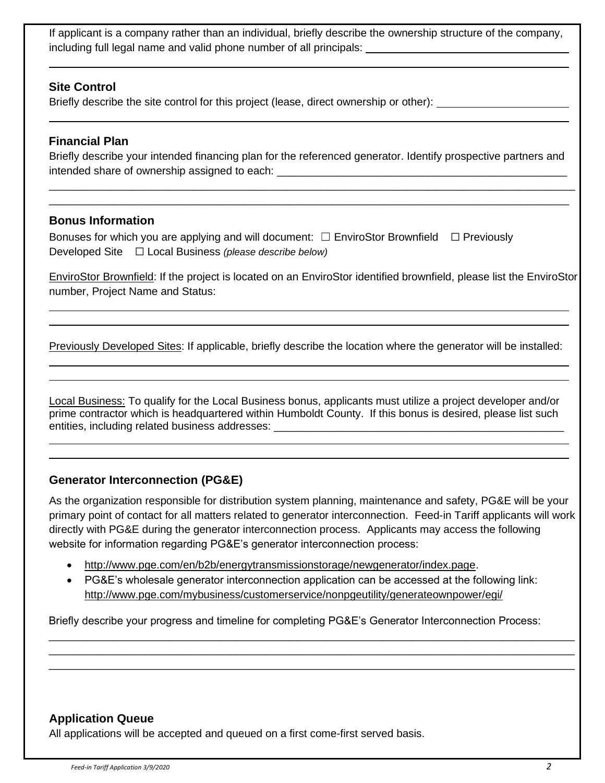If applicant is a company rather than an individual, briefly describe the ownership structure of the company, including full legal name and valid phone number of all principals:

### **Site Control**

Briefly describe the site control for this project (lease, direct ownership or other):

#### **Financial Plan**

Briefly describe your intended financing plan for the referenced generator. Identify prospective partners and intended share of ownership assigned to each: \_\_\_\_\_\_\_\_\_\_\_\_\_\_\_\_\_\_\_\_\_\_\_\_\_\_\_\_\_\_\_\_\_\_\_\_\_\_\_\_\_\_\_\_\_\_\_\_

\_\_\_\_\_\_\_\_\_\_\_\_\_\_\_\_\_\_\_\_\_\_\_\_\_\_\_\_\_\_\_\_\_\_\_\_\_\_\_\_\_\_\_\_\_\_\_\_\_\_\_\_\_\_\_\_\_\_\_\_\_\_\_\_\_\_\_\_\_\_\_\_\_\_\_\_\_\_\_\_\_\_\_\_\_\_\_ \_\_\_\_\_\_\_\_\_\_\_\_\_\_\_\_\_\_\_\_\_\_\_\_\_\_\_\_\_\_\_\_\_\_\_\_\_\_\_\_\_\_\_\_\_\_\_\_\_\_\_\_\_\_\_\_\_\_\_\_\_\_\_\_\_\_\_\_\_\_\_\_\_\_\_\_\_\_\_\_\_\_\_\_\_\_

#### **Bonus Information**

Bonuses for which you are applying and will document:  $\Box$  EnviroStor Brownfield  $\Box$  Previously Developed Site ☐ Local Business *(please describe below)*

EnviroStor Brownfield: If the project is located on an EnviroStor identified brownfield, please list the EnviroStor number, Project Name and Status:

Previously Developed Sites: If applicable, briefly describe the location where the generator will be installed:

Local Business: To qualify for the Local Business bonus, applicants must utilize a project developer and/or prime contractor which is headquartered within Humboldt County. If this bonus is desired, please list such entities, including related business addresses:

### **Generator Interconnection (PG&E)**

As the organization responsible for distribution system planning, maintenance and safety, PG&E will be your primary point of contact for all matters related to generator interconnection. Feed-in Tariff applicants will work directly with PG&E during the generator interconnection process. Applicants may access the following website for information regarding PG&E's generator interconnection process:

- [http://www.pge.com/en/b2b/energytransmissionstorage/newgenerator/index.page.](http://www.pge.com/en/b2b/energytransmissionstorage/newgenerator/index.page)
- PG&E's wholesale generator interconnection application can be accessed at the following link: <http://www.pge.com/mybusiness/customerservice/nonpgeutility/generateownpower/egi/>

\_\_\_\_\_\_\_\_\_\_\_\_\_\_\_\_\_\_\_\_\_\_\_\_\_\_\_\_\_\_\_\_\_\_\_\_\_\_\_\_\_\_\_\_\_\_\_\_\_\_\_\_\_\_\_\_\_\_\_\_\_\_\_\_\_\_\_\_\_\_\_\_\_\_\_\_\_\_\_\_\_\_\_\_\_\_\_ \_\_\_\_\_\_\_\_\_\_\_\_\_\_\_\_\_\_\_\_\_\_\_\_\_\_\_\_\_\_\_\_\_\_\_\_\_\_\_\_\_\_\_\_\_\_\_\_\_\_\_\_\_\_\_\_\_\_\_\_\_\_\_\_\_\_\_\_\_\_\_\_\_\_\_\_\_\_\_\_\_\_\_\_\_\_\_ \_\_\_\_\_\_\_\_\_\_\_\_\_\_\_\_\_\_\_\_\_\_\_\_\_\_\_\_\_\_\_\_\_\_\_\_\_\_\_\_\_\_\_\_\_\_\_\_\_\_\_\_\_\_\_\_\_\_\_\_\_\_\_\_\_\_\_\_\_\_\_\_\_\_\_\_\_\_\_\_\_\_\_\_\_\_\_

Briefly describe your progress and timeline for completing PG&E's Generator Interconnection Process:

### **Application Queue**

All applications will be accepted and queued on a first come-first served basis.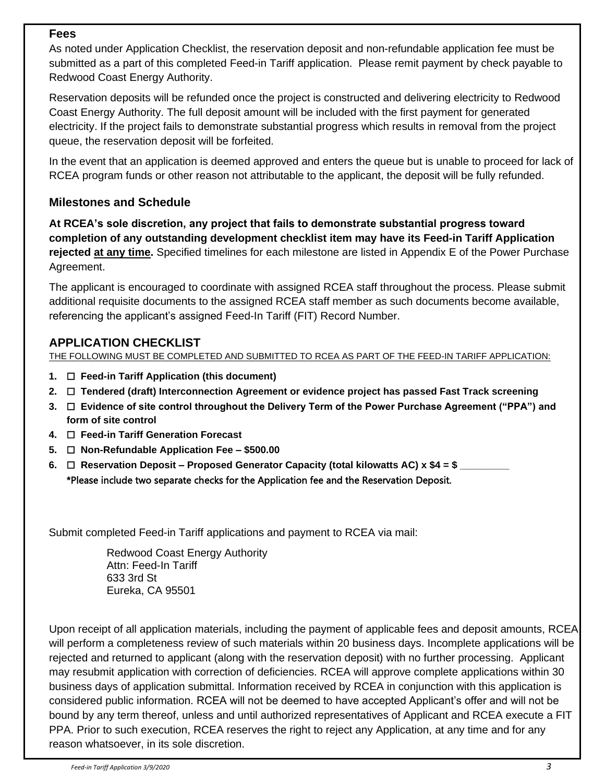#### **Fees**

As noted under Application Checklist, the reservation deposit and non-refundable application fee must be submitted as a part of this completed Feed-in Tariff application. Please remit payment by check payable to Redwood Coast Energy Authority.

Reservation deposits will be refunded once the project is constructed and delivering electricity to Redwood Coast Energy Authority. The full deposit amount will be included with the first payment for generated electricity. If the project fails to demonstrate substantial progress which results in removal from the project queue, the reservation deposit will be forfeited.

In the event that an application is deemed approved and enters the queue but is unable to proceed for lack of RCEA program funds or other reason not attributable to the applicant, the deposit will be fully refunded.

# **Milestones and Schedule**

**At RCEA's sole discretion, any project that fails to demonstrate substantial progress toward completion of any outstanding development checklist item may have its Feed-in Tariff Application rejected at any time.** Specified timelines for each milestone are listed in Appendix E of the Power Purchase Agreement.

The applicant is encouraged to coordinate with assigned RCEA staff throughout the process. Please submit additional requisite documents to the assigned RCEA staff member as such documents become available, referencing the applicant's assigned Feed-In Tariff (FIT) Record Number.

# **APPLICATION CHECKLIST**

THE FOLLOWING MUST BE COMPLETED AND SUBMITTED TO RCEA AS PART OF THE FEED-IN TARIFF APPLICATION:

- **1.** ☐ **Feed-in Tariff Application (this document)**
- **2.** ☐ **Tendered (draft) Interconnection Agreement or evidence project has passed Fast Track screening**
- **3.** ☐ **Evidence of site control throughout the Delivery Term of the Power Purchase Agreement ("PPA") and form of site control**
- **4.** ☐ **Feed-in Tariff Generation Forecast**
- **5.** ☐ **Non-Refundable Application Fee – \$500.00**
- **6.** ☐ **Reservation Deposit – Proposed Generator Capacity (total kilowatts AC) x \$4 = \$ \_\_\_\_\_\_\_\_\_** \*Please include two separate checks for the Application fee and the Reservation Deposit.

Submit completed Feed-in Tariff applications and payment to RCEA via mail:

Redwood Coast Energy Authority Attn: Feed-In Tariff 633 3rd St Eureka, CA 95501

Upon receipt of all application materials, including the payment of applicable fees and deposit amounts, RCEA will perform a completeness review of such materials within 20 business days. Incomplete applications will be rejected and returned to applicant (along with the reservation deposit) with no further processing. Applicant may resubmit application with correction of deficiencies. RCEA will approve complete applications within 30 business days of application submittal. Information received by RCEA in conjunction with this application is considered public information. RCEA will not be deemed to have accepted Applicant's offer and will not be bound by any term thereof, unless and until authorized representatives of Applicant and RCEA execute a FIT PPA. Prior to such execution, RCEA reserves the right to reject any Application, at any time and for any reason whatsoever, in its sole discretion.